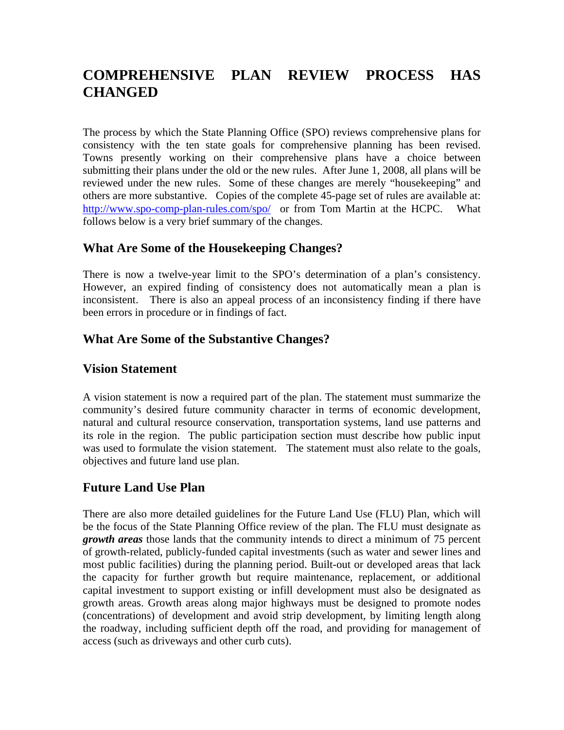# **COMPREHENSIVE PLAN REVIEW PROCESS HAS CHANGED**

The process by which the State Planning Office (SPO) reviews comprehensive plans for consistency with the ten state goals for comprehensive planning has been revised. Towns presently working on their comprehensive plans have a choice between submitting their plans under the old or the new rules. After June 1, 2008, all plans will be reviewed under the new rules. Some of these changes are merely "housekeeping" and others are more substantive. Copies of the complete 45-page set of rules are available at: <http://www.spo-comp-plan-rules.com/spo/>or from Tom Martin at the HCPC. What follows below is a very brief summary of the changes.

#### **What Are Some of the Housekeeping Changes?**

There is now a twelve-year limit to the SPO's determination of a plan's consistency. However, an expired finding of consistency does not automatically mean a plan is inconsistent. There is also an appeal process of an inconsistency finding if there have been errors in procedure or in findings of fact.

#### **What Are Some of the Substantive Changes?**

#### **Vision Statement**

A vision statement is now a required part of the plan. The statement must summarize the community's desired future community character in terms of economic development, natural and cultural resource conservation, transportation systems, land use patterns and its role in the region. The public participation section must describe how public input was used to formulate the vision statement. The statement must also relate to the goals, objectives and future land use plan.

#### **Future Land Use Plan**

There are also more detailed guidelines for the Future Land Use (FLU) Plan, which will be the focus of the State Planning Office review of the plan. The FLU must designate as *growth areas* those lands that the community intends to direct a minimum of 75 percent of growth-related, publicly-funded capital investments (such as water and sewer lines and most public facilities) during the planning period. Built-out or developed areas that lack the capacity for further growth but require maintenance, replacement, or additional capital investment to support existing or infill development must also be designated as growth areas. Growth areas along major highways must be designed to promote nodes (concentrations) of development and avoid strip development, by limiting length along the roadway, including sufficient depth off the road, and providing for management of access (such as driveways and other curb cuts).